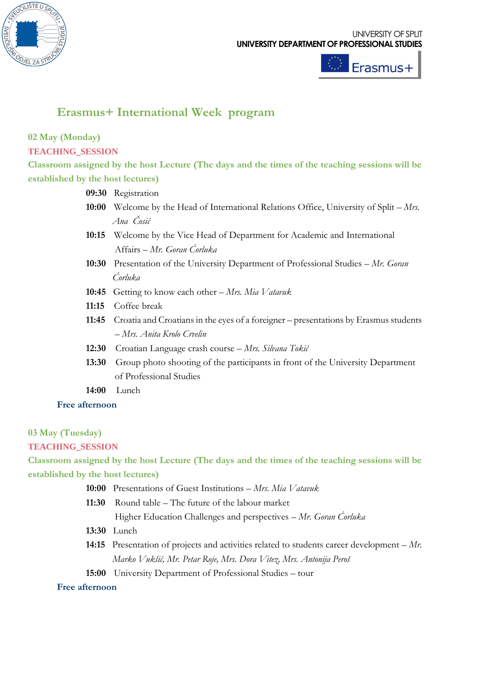



# **Erasmus+ International Week program**

## **02 May (Monday)**

#### **TEACHING\_SESSION**

**Classroom assigned by the host Lecture (The days and the times of the teaching sessions will be established by the host lectures)**

**09:30** Registration

- **10:00** Welcome by the Head of International Relations Office, University of Split *Mrs.* *Ana Čosić*
- **10:15** Welcome by the Vice Head of Department for Academic and International Affairs – *Mr. Goran Ćorluka*
- **10:30** Presentation of the University Department of Professional Studies *Mr. Goran*  *Ćorluka*
- **10:45** Getting to know each other *Mrs. Mia Vatavuk*
- **11:15** Coffee break
- **11:45** Croatia and Croatians in the eyes of a foreigner presentations by Erasmus students – *Mrs. Anita Krolo Crvelin*
- **12:30** Croatian Language crash course *Mrs. Silvana Tokić*
- **13:30** Group photo shooting of the participants in front of the University Department of Professional Studies
- **14:00** Lunch

#### **Free afternoon**

#### **03 May (Tuesday)**

**TEACHING\_SESSION**

**Classroom assigned by the host Lecture (The days and the times of the teaching sessions will be established by the host lectures)**

- **10:00** Presentations of Guest Institutions *Mrs. Mia Vatavuk*
- **11:30** Round table The future of the labour market
	- Higher Education Challenges and perspectives *Mr. Goran Ćorluka*
- **13:30** Lunch
- **14:15** Presentation of projects and activities related to students career development *Mr.* *Marko Vukšić, Mr. Petar Roje, Mrs. Dora Vitez, Mrs. Antonija Peroš*
- **15:00** University Department of Professional Studies tour

#### **Free afternoon**